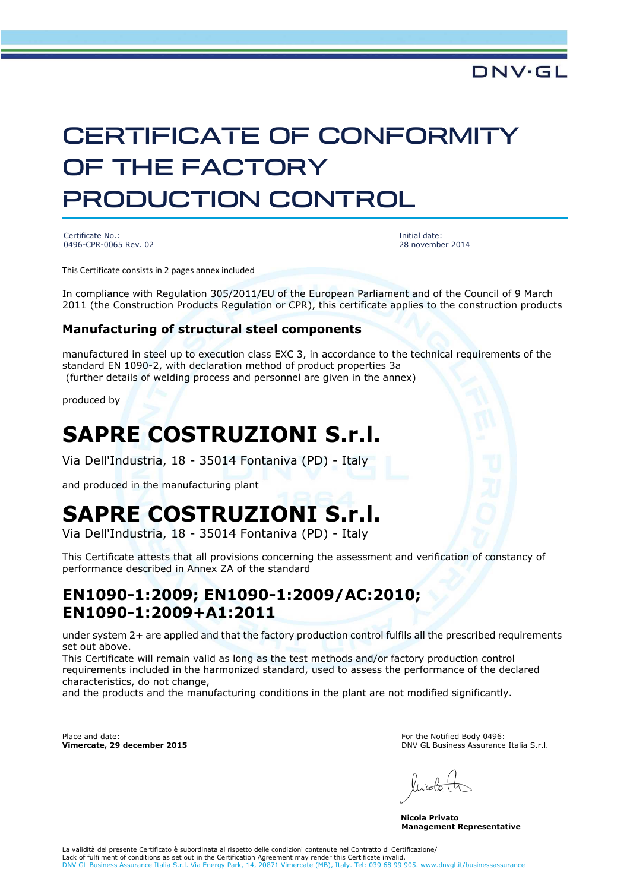# CERTIFICATE OF CONFORMITY OF THE FACTORY PRODUCTION CONTROL

Certificate No.: 0496-CPR-0065 Rev. 02 Initial date: 28 november 2014

**DNV·GL** 

This Certificate consists in 2 pages annex included

In compliance with Regulation 305/2011/EU of the European Parliament and of the Council of 9 March 2011 (the Construction Products Regulation or CPR), this certificate applies to the construction products

#### **Manufacturing of structural steel components**

manufactured in steel up to execution class EXC 3, in accordance to the technical requirements of the standard EN 1090-2, with declaration method of product properties 3a (further details of welding process and personnel are given in the annex)

produced by

## **SAPRE COSTRUZIONI S.r.l.**

Via Dell'Industria, 18 - 35014 Fontaniva (PD) - Italy

and produced in the manufacturing plant

### **SAPRE COSTRUZIONI S.r.l.**

Via Dell'Industria, 18 - 35014 Fontaniva (PD) - Italy

This Certificate attests that all provisions concerning the assessment and verification of constancy of performance described in Annex ZA of the standard

#### **EN1090-1:2009; EN1090-1:2009/AC:2010; EN1090-1:2009+A1:2011**

under system 2+ are applied and that the factory production control fulfils all the prescribed requirements set out above.

This Certificate will remain valid as long as the test methods and/or factory production control requirements included in the harmonized standard, used to assess the performance of the declared characteristics, do not change,

and the products and the manufacturing conditions in the plant are not modified significantly.

Place and date: **Vimercate, 29 december 2015** For the Notified Body 0496: DNV GL Business Assurance Italia S.r.l.

**Nicola Privato Management Representative**